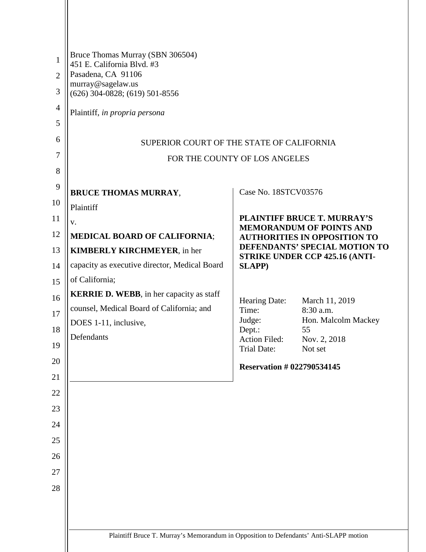| $\mathbf{1}$<br>$\overline{2}$<br>3<br>$\overline{4}$<br>5<br>6<br>7 | Bruce Thomas Murray (SBN 306504)<br>451 E. California Blvd. #3<br>Pasadena, CA 91106<br>murray@sagelaw.us<br>$(626)$ 304-0828; $(619)$ 501-8556<br>Plaintiff, in propria persona<br>SUPERIOR COURT OF THE STATE OF CALIFORNIA<br>FOR THE COUNTY OF LOS ANGELES                             |                                                                                                    |                                                                                                                                                                                                                                                                        |
|----------------------------------------------------------------------|--------------------------------------------------------------------------------------------------------------------------------------------------------------------------------------------------------------------------------------------------------------------------------------------|----------------------------------------------------------------------------------------------------|------------------------------------------------------------------------------------------------------------------------------------------------------------------------------------------------------------------------------------------------------------------------|
| 8<br>9<br>10                                                         | <b>BRUCE THOMAS MURRAY,</b><br>Plaintiff                                                                                                                                                                                                                                                   | Case No. 18STCV03576                                                                               |                                                                                                                                                                                                                                                                        |
| 11<br>12<br>13<br>14<br>15<br>16<br>17<br>18<br>19<br>20             | V.<br><b>MEDICAL BOARD OF CALIFORNIA;</b><br><b>KIMBERLY KIRCHMEYER, in her</b><br>capacity as executive director, Medical Board<br>of California;<br><b>KERRIE D. WEBB</b> , in her capacity as staff<br>counsel, Medical Board of California; and<br>DOES 1-11, inclusive,<br>Defendants | <b>SLAPP)</b><br>Hearing Date:<br>Time:<br>Judge:<br>Dept.:<br><b>Action Filed:</b><br>Trial Date: | <b>PLAINTIFF BRUCE T. MURRAY'S</b><br><b>MEMORANDUM OF POINTS AND</b><br><b>AUTHORITIES IN OPPOSITION TO</b><br>DEFENDANTS' SPECIAL MOTION TO<br>STRIKE UNDER CCP 425.16 (ANTI-<br>March 11, 2019<br>8:30 a.m.<br>Hon. Malcolm Mackey<br>55<br>Nov. 2, 2018<br>Not set |
| 21<br>22<br>23<br>24<br>25<br>26<br>27<br>28                         | Plaintiff Bruce T. Murray's Memorandum in Opposition to Defendants' Anti-SLAPP motion                                                                                                                                                                                                      | <b>Reservation #022790534145</b>                                                                   |                                                                                                                                                                                                                                                                        |
|                                                                      |                                                                                                                                                                                                                                                                                            |                                                                                                    |                                                                                                                                                                                                                                                                        |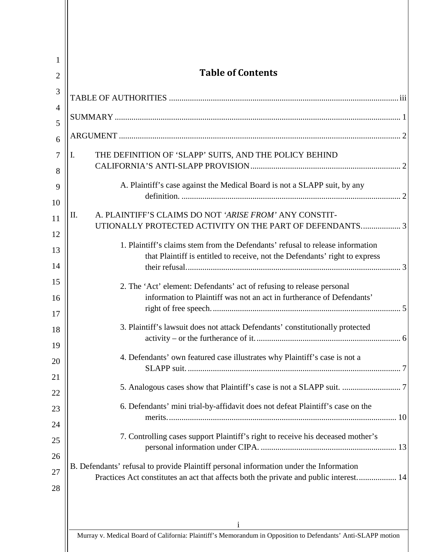| 1<br>$\overline{2}$ | <b>Table of Contents</b>                                                                                                                                                        |  |  |
|---------------------|---------------------------------------------------------------------------------------------------------------------------------------------------------------------------------|--|--|
| 3                   |                                                                                                                                                                                 |  |  |
| 4                   |                                                                                                                                                                                 |  |  |
| 5                   |                                                                                                                                                                                 |  |  |
| 6                   |                                                                                                                                                                                 |  |  |
| 7<br>8              | THE DEFINITION OF 'SLAPP' SUITS, AND THE POLICY BEHIND<br>I.                                                                                                                    |  |  |
| 9<br>10             | A. Plaintiff's case against the Medical Board is not a SLAPP suit, by any                                                                                                       |  |  |
| 11                  | A. PLAINTIFF'S CLAIMS DO NOT 'ARISE FROM' ANY CONSTIT-<br>II.<br>UTIONALLY PROTECTED ACTIVITY ON THE PART OF DEFENDANTS 3                                                       |  |  |
| 12<br>13            | 1. Plaintiff's claims stem from the Defendants' refusal to release information                                                                                                  |  |  |
| 14                  | that Plaintiff is entitled to receive, not the Defendants' right to express                                                                                                     |  |  |
| 15<br>16            | 2. The 'Act' element: Defendants' act of refusing to release personal<br>information to Plaintiff was not an act in furtherance of Defendants'                                  |  |  |
| 17                  |                                                                                                                                                                                 |  |  |
| 18<br>19            | 3. Plaintiff's lawsuit does not attack Defendants' constitutionally protected                                                                                                   |  |  |
| 20                  | 4. Defendants' own featured case illustrates why Plaintiff's case is not a                                                                                                      |  |  |
| 21<br>22            |                                                                                                                                                                                 |  |  |
| 23                  | 6. Defendants' mini trial-by-affidavit does not defeat Plaintiff's case on the                                                                                                  |  |  |
| 24                  |                                                                                                                                                                                 |  |  |
| 25                  | 7. Controlling cases support Plaintiff's right to receive his deceased mother's                                                                                                 |  |  |
| 26                  |                                                                                                                                                                                 |  |  |
| 27<br>28            | B. Defendants' refusal to provide Plaintiff personal information under the Information<br>Practices Act constitutes an act that affects both the private and public interest 14 |  |  |
|                     | 1                                                                                                                                                                               |  |  |

Murray v. Medical Board of California: Plaintiff's Memorandum in Opposition to Defendants' Anti-SLAPP motion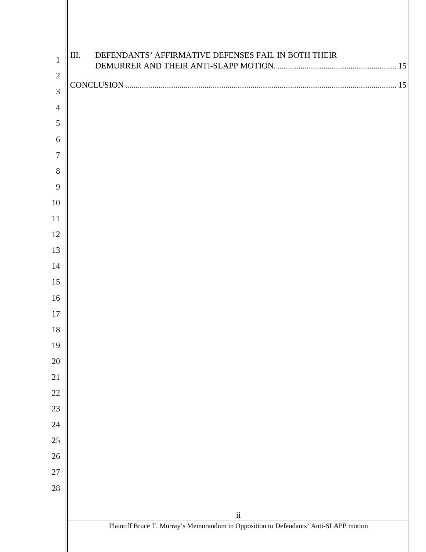| $\mathbf{1}$   | DEFENDANTS' AFFIRMATIVE DEFENSES FAIL IN BOTH THEIR<br>III.                           |
|----------------|---------------------------------------------------------------------------------------|
| $\sqrt{2}$     |                                                                                       |
| 3              |                                                                                       |
| $\overline{4}$ |                                                                                       |
| 5              |                                                                                       |
| 6              |                                                                                       |
| $\tau$         |                                                                                       |
| 8              |                                                                                       |
| 9              |                                                                                       |
| 10             |                                                                                       |
| 11             |                                                                                       |
| 12             |                                                                                       |
| 13             |                                                                                       |
| 14             |                                                                                       |
| 15             |                                                                                       |
| 16             |                                                                                       |
| 17             |                                                                                       |
| 18             |                                                                                       |
| 19             |                                                                                       |
| 20             |                                                                                       |
| 21             |                                                                                       |
| $22\,$         |                                                                                       |
| $23\,$         |                                                                                       |
| 24             |                                                                                       |
| $25\,$         |                                                                                       |
| $26\,$         |                                                                                       |
| $27\,$         |                                                                                       |
| $28\,$         |                                                                                       |
|                | $\rm ii$                                                                              |
|                | Plaintiff Bruce T. Murray's Memorandum in Opposition to Defendants' Anti-SLAPP motion |
|                |                                                                                       |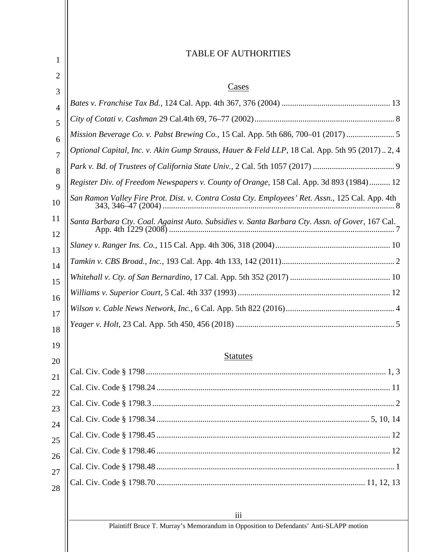#### <span id="page-3-0"></span>iii Plaintiff Bruce T. Murray's Memorandum in Opposition to Defendants' Anti-SLAPP motion 1 2 3 4 5 6 7 8 9 10 11 12 13 14 15 16 17 18 19 20 21 22 23 24 25 26 27 28 TABLE OF AUTHORITIES Cases *Bates v. Franchise Tax Bd.,* 124 Cal. App. 4th 367, 376 (2004) .................................................... 13 *City of Cotati v. Cashman* 29 Cal.4th 69, 76–77 (2002)................................................................... 8 *Mission Beverage Co. v. Pabst Brewing Co.,* 15 Cal. App. 5th 686, 700–01 (2017) ....................... 5 *Optional Capital, Inc. v. Akin Gump Strauss, Hauer & Feld LLP,* 18 Cal. App. 5th 95 (2017).. 2, 4 *Park v. Bd. of Trustees of California State Univ.,* 2 Cal. 5th 1057 (2017) ....................................... 9 *Register Div. of Freedom Newspapers v. County of Orange,* 158 Cal. App. 3d 893 (1984).......... 12 *San Ramon Valley Fire Prot. Dist. v. Contra Costa Cty. Employees' Ret. Assn.,* 125 Cal. App. 4th 343, 346–47 (2004) ............................................................................................................... 8 *Santa Barbara Cty. Coal. Against Auto. Subsidies v. Santa Barbara Cty. Assn. of Gover,* 167 Cal. App. 4th 1229 (2008) ............................................................................................................ 7 *Slaney v. Ranger Ins. Co.,* 115 Cal. App. 4th 306, 318 (2004)....................................................... 10 *Tamkin v. CBS Broad., Inc.,* 193 Cal. App. 4th 133, 142 (2011)...................................................... 2 *Whitehall v. Cty. of San Bernardino,* 17 Cal. App. 5th 352 (2017) ................................................ 10 *Williams v. Superior Court,* 5 Cal. 4th 337 (1993) ......................................................................... 12 *Wilson v. Cable News Network, Inc.,* 6 Cal. App. 5th 822 (2016).................................................... 4 *Yeager v. Holt,* 23 Cal. App. 5th 450, 456 (2018) ............................................................................ 5 Statutes Cal. Civ. Code § 1798 ................................................................................................................... 1, 3 Cal. Civ. Code § 1798.24 ................................................................................................................ 11 Cal. Civ. Code § 1798.3 .................................................................................................................... 2 Cal. Civ. Code § 1798.34 ...................................................................................................... 5, 10, 14 Cal. Civ. Code § 1798.45 ................................................................................................................ 12 Cal. Civ. Code § 1798.46 ................................................................................................................ 12 Cal. Civ. Code § 1798.48 .................................................................................................................. 1 Cal. Civ. Code § 1798.70 .................................................................................................... 11, 12, 13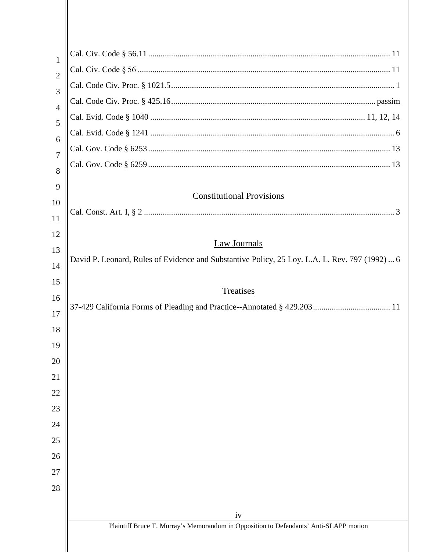| 1<br>$\overline{2}$<br>3<br>$\overline{4}$<br>5 |                                                                                                |  |  |
|-------------------------------------------------|------------------------------------------------------------------------------------------------|--|--|
|                                                 |                                                                                                |  |  |
|                                                 |                                                                                                |  |  |
|                                                 |                                                                                                |  |  |
|                                                 |                                                                                                |  |  |
| 6                                               |                                                                                                |  |  |
| $\overline{7}$                                  |                                                                                                |  |  |
| 8                                               |                                                                                                |  |  |
| 9                                               |                                                                                                |  |  |
| 10                                              | <b>Constitutional Provisions</b>                                                               |  |  |
| 11                                              |                                                                                                |  |  |
| 12                                              |                                                                                                |  |  |
| 13                                              | <b>Law Journals</b>                                                                            |  |  |
| 14                                              | David P. Leonard, Rules of Evidence and Substantive Policy, 25 Loy. L.A. L. Rev. 797 (1992)  6 |  |  |
| 15                                              |                                                                                                |  |  |
| 16                                              | Treatises                                                                                      |  |  |
| 17                                              |                                                                                                |  |  |
| 18                                              |                                                                                                |  |  |
| 19                                              |                                                                                                |  |  |
| 20                                              |                                                                                                |  |  |
| 21                                              |                                                                                                |  |  |
| 22                                              |                                                                                                |  |  |
| 23                                              |                                                                                                |  |  |
| 24                                              |                                                                                                |  |  |
| 25                                              |                                                                                                |  |  |
| 26                                              |                                                                                                |  |  |
| 27                                              |                                                                                                |  |  |
| 28                                              |                                                                                                |  |  |
|                                                 |                                                                                                |  |  |
|                                                 | iv                                                                                             |  |  |
|                                                 | Plaintiff Bruce T. Murray's Memorandum in Opposition to Defendants' Anti-SLAPP motion          |  |  |
|                                                 |                                                                                                |  |  |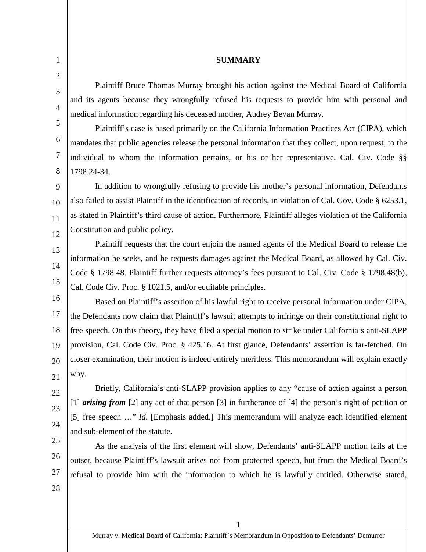### **SUMMARY**

Plaintiff Bruce Thomas Murray brought his action against the Medical Board of California and its agents because they wrongfully refused his requests to provide him with personal and medical information regarding his deceased mother, Audrey Bevan Murray.

Plaintiff's case is based primarily on the California Information Practices Act (CIPA), which mandates that public agencies release the personal information that they collect, upon request, to the individual to whom the information pertains, or his or her representative. Cal. Civ. Code §§ 1798.24-34.

9 10 11 12 In addition to wrongfully refusing to provide his mother's personal information, Defendants also failed to assist Plaintiff in the identification of records, in violation of Cal. Gov. Code § 6253.1, as stated in Plaintiff's third cause of action. Furthermore, Plaintiff alleges violation of the California Constitution and public policy.

Plaintiff requests that the court enjoin the named agents of the Medical Board to release the information he seeks, and he requests damages against the Medical Board, as allowed by Cal. Civ. Code § 1798.48. Plaintiff further requests attorney's fees pursuant to Cal. Civ. Code § 1798.48(b), Cal. Code Civ. Proc. § 1021.5, and/or equitable principles.

16 17 18 19 20 21 Based on Plaintiff's assertion of his lawful right to receive personal information under CIPA, the Defendants now claim that Plaintiff's lawsuit attempts to infringe on their constitutional right to free speech. On this theory, they have filed a special motion to strike under California's anti-SLAPP provision, Cal. Code Civ. Proc. § 425.16. At first glance, Defendants' assertion is far-fetched. On closer examination, their motion is indeed entirely meritless. This memorandum will explain exactly why.

Briefly, California's anti-SLAPP provision applies to any "cause of action against a person [1] *arising from* [2] any act of that person [3] in furtherance of [4] the person's right of petition or [5] free speech ..." *Id.* [Emphasis added.] This memorandum will analyze each identified element and sub-element of the statute.

25 26 27 As the analysis of the first element will show, Defendants' anti-SLAPP motion fails at the outset, because Plaintiff's lawsuit arises not from protected speech, but from the Medical Board's refusal to provide him with the information to which he is lawfully entitled. Otherwise stated,

28

22

23

24

<span id="page-5-0"></span>1

2

3

4

5

6

7

8

13

14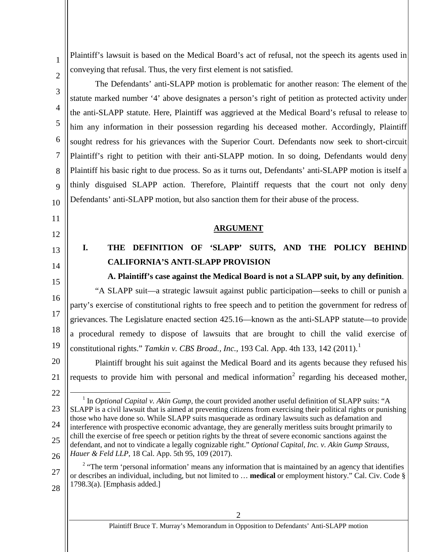Plaintiff's lawsuit is based on the Medical Board's act of refusal, not the speech its agents used in conveying that refusal. Thus, the very first element is not satisfied.

The Defendants' anti-SLAPP motion is problematic for another reason: The element of the statute marked number '4' above designates a person's right of petition as protected activity under the anti-SLAPP statute. Here, Plaintiff was aggrieved at the Medical Board's refusal to release to him any information in their possession regarding his deceased mother. Accordingly, Plaintiff sought redress for his grievances with the Superior Court. Defendants now seek to short-circuit Plaintiff's right to petition with their anti-SLAPP motion. In so doing, Defendants would deny Plaintiff his basic right to due process. So as it turns out, Defendants' anti-SLAPP motion is itself a thinly disguised SLAPP action. Therefore, Plaintiff requests that the court not only deny Defendants' anti-SLAPP motion, but also sanction them for their abuse of the process.

**ARGUMENT**

## <span id="page-6-1"></span>**I. THE DEFINITION OF 'SLAPP' SUITS, AND THE POLICY BEHIND CALIFORNIA'S ANTI-SLAPP PROVISION**

<span id="page-6-2"></span>14 15

1

2

3

4

5

6

7

8

9

10

<span id="page-6-0"></span>11

12

13

**A. Plaintiff's case against the Medical Board is not a SLAPP suit, by any definition**. "A SLAPP suit—a strategic lawsuit against public participation—seeks to chill or punish a

16 17 18 19 party's exercise of constitutional rights to free speech and to petition the government for redress of grievances. The Legislature enacted section 425.16—known as the anti-SLAPP statute—to provide a procedural remedy to dispose of lawsuits that are brought to chill the valid exercise of constitutional rights." *Tamkin v. CBS Broad., Inc.,* 193 Cal. App. 4th 133, 142 (2011). [1](#page-6-3)

20 21 Plaintiff brought his suit against the Medical Board and its agents because they refused his requests to provide him with personal and medical information<sup>[2](#page-6-4)</sup> regarding his deceased mother,

<span id="page-6-3"></span>23 24 25 26 1 In *Optional Capital v. Akin Gump,* the court provided another useful definition of SLAPP suits: "A SLAPP is a civil lawsuit that is aimed at preventing citizens from exercising their political rights or punishing those who have done so. While SLAPP suits masquerade as ordinary lawsuits such as defamation and interference with prospective economic advantage, they are generally meritless suits brought primarily to chill the exercise of free speech or petition rights by the threat of severe economic sanctions against the defendant, and not to vindicate a legally cognizable right." *Optional Capital, Inc. v. Akin Gump Strauss, Hauer & Feld LLP,* 18 Cal. App. 5th 95, 109 (2017).

22

<sup>2</sup> "The term 'personal information' means any information that is maintained by an agency that identifies or describes an individual, including, but not limited to … **medical** or employment history." Cal. Civ. Code §  $1798.3(a)$ . [Emphasis added.]

<span id="page-6-4"></span><sup>27</sup> 28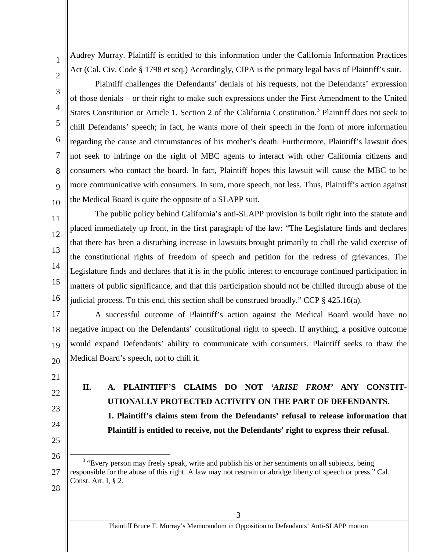Audrey Murray. Plaintiff is entitled to this information under the California Information Practices Act (Cal. Civ. Code § 1798 et seq.) Accordingly, CIPA is the primary legal basis of Plaintiff's suit.

2 3

4

5

6

7

8

9

10

11

1

Plaintiff challenges the Defendants' denials of his requests, not the Defendants' expression of those denials – or their right to make such expressions under the First Amendment to the United States Constitution or Article 1, Section 2 of the California Constitution.<sup>[3](#page-7-2)</sup> Plaintiff does not seek to chill Defendants' speech; in fact, he wants more of their speech in the form of more information regarding the cause and circumstances of his mother's death. Furthermore, Plaintiff's lawsuit does not seek to infringe on the right of MBC agents to interact with other California citizens and consumers who contact the board. In fact, Plaintiff hopes this lawsuit will cause the MBC to be more communicative with consumers. In sum, more speech, not less. Thus, Plaintiff's action against the Medical Board is quite the opposite of a SLAPP suit.

12 13 14 15 16 The public policy behind California's anti-SLAPP provision is built right into the statute and placed immediately up front, in the first paragraph of the law: "The Legislature finds and declares that there has been a disturbing increase in lawsuits brought primarily to chill the valid exercise of the constitutional rights of freedom of speech and petition for the redress of grievances. The Legislature finds and declares that it is in the public interest to encourage continued participation in matters of public significance, and that this participation should not be chilled through abuse of the judicial process. To this end, this section shall be construed broadly." CCP  $\S$  425.16(a).

17 18 19 20 A successful outcome of Plaintiff's action against the Medical Board would have no negative impact on the Defendants' constitutional right to speech. If anything, a positive outcome would expand Defendants' ability to communicate with consumers. Plaintiff seeks to thaw the Medical Board's speech, not to chill it.

- 21
- 22
- <span id="page-7-1"></span>23
- 24
- 25
- 26

**UTIONALLY PROTECTED ACTIVITY ON THE PART OF DEFENDANTS. 1. Plaintiff's claims stem from the Defendants' refusal to release information that Plaintiff is entitled to receive, not the Defendants' right to express their refusal**.

<span id="page-7-0"></span>**II. A. PLAINTIFF'S CLAIMS DO NOT** *'ARISE FROM'* **ANY CONSTIT-**

<span id="page-7-2"></span><sup>27</sup> <sup>3</sup> "Every person may freely speak, write and publish his or her sentiments on all subjects, being responsible for the abuse of this right. A law may not restrain or abridge liberty of speech or press." Cal. Const. Art. I, § 2.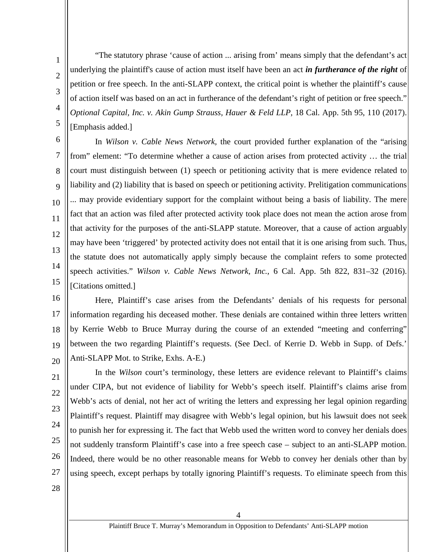"The statutory phrase 'cause of action ... arising from' means simply that the defendant's act underlying the plaintiff's cause of action must itself have been an act *in furtherance of the right* of petition or free speech. In the anti-SLAPP context, the critical point is whether the plaintiff's cause of action itself was based on an act in furtherance of the defendant's right of petition or free speech." *Optional Capital, Inc. v. Akin Gump Strauss, Hauer & Feld LLP,* 18 Cal. App. 5th 95, 110 (2017). [Emphasis added.]

In *Wilson v. Cable News Network,* the court provided further explanation of the "arising from" element: "To determine whether a cause of action arises from protected activity … the trial court must distinguish between (1) speech or petitioning activity that is mere evidence related to liability and (2) liability that is based on speech or petitioning activity. Prelitigation communications ... may provide evidentiary support for the complaint without being a basis of liability. The mere fact that an action was filed after protected activity took place does not mean the action arose from that activity for the purposes of the anti-SLAPP statute. Moreover, that a cause of action arguably may have been 'triggered' by protected activity does not entail that it is one arising from such. Thus, the statute does not automatically apply simply because the complaint refers to some protected speech activities." *Wilson v. Cable News Network, Inc.,* 6 Cal. App. 5th 822, 831–32 (2016). [Citations omitted.]

15 16

21

22

1

2

3

4

5

6

7

8

9

10

11

12

13

14

17 18 19 20 Here, Plaintiff's case arises from the Defendants' denials of his requests for personal information regarding his deceased mother. These denials are contained within three letters written by Kerrie Webb to Bruce Murray during the course of an extended "meeting and conferring" between the two regarding Plaintiff's requests. (See Decl. of Kerrie D. Webb in Supp. of Defs.' Anti-SLAPP Mot. to Strike, Exhs. A-E.)

23 24 25 26 In the *Wilson* court's terminology, these letters are evidence relevant to Plaintiff's claims under CIPA, but not evidence of liability for Webb's speech itself. Plaintiff's claims arise from Webb's acts of denial, not her act of writing the letters and expressing her legal opinion regarding Plaintiff's request. Plaintiff may disagree with Webb's legal opinion, but his lawsuit does not seek to punish her for expressing it. The fact that Webb used the written word to convey her denials does not suddenly transform Plaintiff's case into a free speech case – subject to an anti-SLAPP motion. Indeed, there would be no other reasonable means for Webb to convey her denials other than by using speech, except perhaps by totally ignoring Plaintiff's requests. To eliminate speech from this

28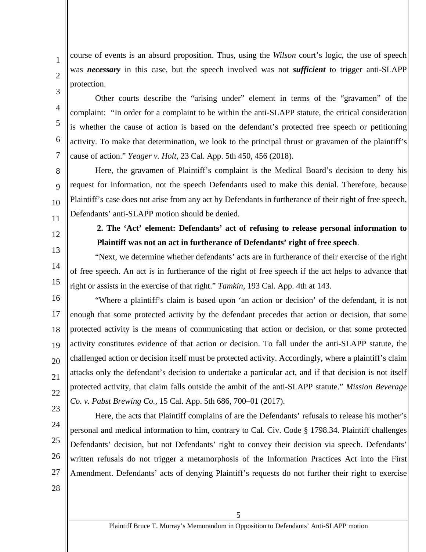course of events is an absurd proposition. Thus, using the *Wilson* court's logic, the use of speech was *necessary* in this case, but the speech involved was not *sufficient* to trigger anti-SLAPP protection.

Other courts describe the "arising under" element in terms of the "gravamen" of the complaint: "In order for a complaint to be within the anti-SLAPP statute, the critical consideration is whether the cause of action is based on the defendant's protected free speech or petitioning activity. To make that determination, we look to the principal thrust or gravamen of the plaintiff's cause of action." *Yeager v. Holt,* 23 Cal. App. 5th 450, 456 (2018).

8 9 10 Here, the gravamen of Plaintiff's complaint is the Medical Board's decision to deny his request for information, not the speech Defendants used to make this denial. Therefore, because Plaintiff's case does not arise from any act by Defendants in furtherance of their right of free speech, Defendants' anti-SLAPP motion should be denied.

<span id="page-9-0"></span>11

1

2

3

4

5

6

7

12 13

14

15

# **2. The 'Act' element: Defendants' act of refusing to release personal information to Plaintiff was not an act in furtherance of Defendants' right of free speech**.

"Next, we determine whether defendants' acts are in furtherance of their exercise of the right of free speech. An act is in furtherance of the right of free speech if the act helps to advance that right or assists in the exercise of that right." *Tamkin,* 193 Cal. App. 4th at 143.

16 17 18 19 20 21 22 "Where a plaintiff's claim is based upon 'an action or decision' of the defendant, it is not enough that some protected activity by the defendant precedes that action or decision, that some protected activity is the means of communicating that action or decision, or that some protected activity constitutes evidence of that action or decision. To fall under the anti-SLAPP statute, the challenged action or decision itself must be protected activity. Accordingly, where a plaintiff's claim attacks only the defendant's decision to undertake a particular act, and if that decision is not itself protected activity, that claim falls outside the ambit of the anti-SLAPP statute." *Mission Beverage Co. v. Pabst Brewing Co.,* 15 Cal. App. 5th 686, 700–01 (2017).

- 23
- 24

25

26 27 personal and medical information to him, contrary to Cal. Civ. Code § 1798.34. Plaintiff challenges Defendants' decision, but not Defendants' right to convey their decision via speech. Defendants' written refusals do not trigger a metamorphosis of the Information Practices Act into the First Amendment. Defendants' acts of denying Plaintiff's requests do not further their right to exercise

Here, the acts that Plaintiff complains of are the Defendants' refusals to release his mother's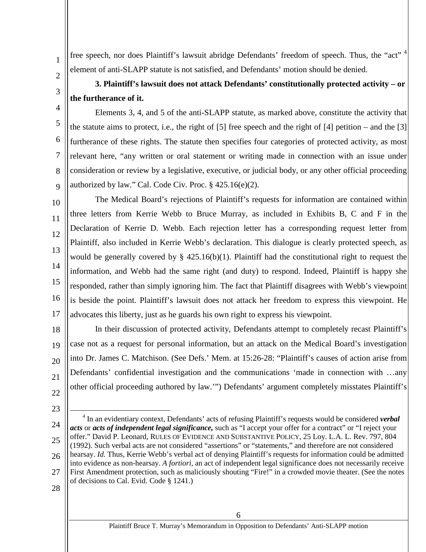free speech, nor does Plaintiff's lawsuit abridge Defendants' freedom of speech. Thus, the "act"<sup>[4](#page-10-1)</sup> element of anti-SLAPP statute is not satisfied, and Defendants' motion should be denied.

<span id="page-10-0"></span>**3. Plaintiff's lawsuit does not attack Defendants' constitutionally protected activity – or the furtherance of it.**

Elements 3, 4, and 5 of the anti-SLAPP statute, as marked above, constitute the activity that the statute aims to protect, i.e., the right of [5] free speech and the right of [4] petition – and the [3] furtherance of these rights. The statute then specifies four categories of protected activity, as most relevant here, "any written or oral statement or writing made in connection with an issue under consideration or review by a legislative, executive, or judicial body, or any other official proceeding authorized by law." Cal. Code Civ. Proc. § 425.16(e)(2).

10 12 13 14 15 16 17 The Medical Board's rejections of Plaintiff's requests for information are contained within three letters from Kerrie Webb to Bruce Murray, as included in Exhibits B, C and F in the Declaration of Kerrie D. Webb. Each rejection letter has a corresponding request letter from Plaintiff, also included in Kerrie Webb's declaration. This dialogue is clearly protected speech, as would be generally covered by § 425.16(b)(1). Plaintiff had the constitutional right to request the information, and Webb had the same right (and duty) to respond. Indeed, Plaintiff is happy she responded, rather than simply ignoring him. The fact that Plaintiff disagrees with Webb's viewpoint is beside the point. Plaintiff's lawsuit does not attack her freedom to express this viewpoint. He advocates this liberty, just as he guards his own right to express his viewpoint.

18 19 20 21 22 In their discussion of protected activity, Defendants attempt to completely recast Plaintiff's case not as a request for personal information, but an attack on the Medical Board's investigation into Dr. James C. Matchison. (See Defs.' Mem. at 15:26-28: "Plaintiff's causes of action arise from Defendants' confidential investigation and the communications 'made in connection with …any other official proceeding authored by law.'") Defendants' argument completely misstates Plaintiff's

23

1

2

3

4

5

6

7

8

9

- <span id="page-10-1"></span>24 25 26 27 4 In an evidentiary context, Defendants' acts of refusing Plaintiff's requests would be considered *verbal acts* or *acts of independent legal significance,* such as "I accept your offer for a contract" or "I reject your offer." David P. Leonard, RULES OF EVIDENCE AND SUBSTANTIVE POLICY, 25 Loy. L.A. L. Rev. 797, 804 (1992). Such verbal acts are not considered "assertions" or "statements," and therefore are not considered hearsay. *Id.* Thus, Kerrie Webb's verbal act of denying Plaintiff's requests for information could be admitted into evidence as non-hearsay. *A fortiori,* an act of independent legal significance does not necessarily receive First Amendment protection, such as maliciously shouting "Fire!" in a crowded movie theater. (See the notes of decisions to Cal. Evid. Code § 1241.)
- 28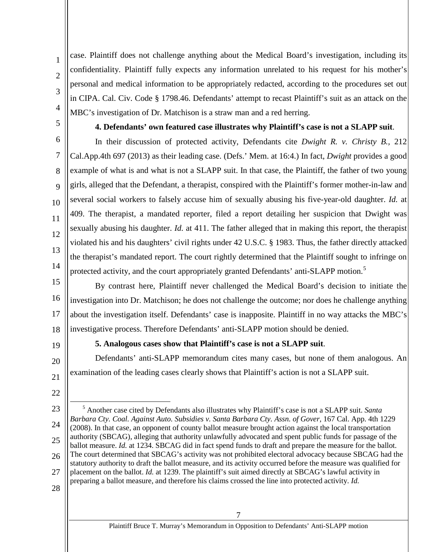case. Plaintiff does not challenge anything about the Medical Board's investigation, including its confidentiality. Plaintiff fully expects any information unrelated to his request for his mother's personal and medical information to be appropriately redacted, according to the procedures set out in CIPA. Cal. Civ. Code § 1798.46. Defendants' attempt to recast Plaintiff's suit as an attack on the MBC's investigation of Dr. Matchison is a straw man and a red herring.

## **4. Defendants' own featured case illustrates why Plaintiff's case is not a SLAPP suit**.

In their discussion of protected activity, Defendants cite *Dwight R. v. Christy B.,* 212 Cal.App.4th 697 (2013) as their leading case. (Defs.' Mem. at 16:4.) In fact, *Dwight* provides a good example of what is and what is not a SLAPP suit. In that case, the Plaintiff, the father of two young girls, alleged that the Defendant, a therapist, conspired with the Plaintiff's former mother-in-law and several social workers to falsely accuse him of sexually abusing his five-year-old daughter. *Id.* at 409. The therapist, a mandated reporter, filed a report detailing her suspicion that Dwight was sexually abusing his daughter. *Id.* at 411. The father alleged that in making this report, the therapist violated his and his daughters' civil rights under 42 U.S.C. § 1983. Thus, the father directly attacked the therapist's mandated report. The court rightly determined that the Plaintiff sought to infringe on protected activity, and the court appropriately granted Defendants' anti-SLAPP motion.<sup>[5](#page-11-2)</sup>

15 16 17 18 By contrast here, Plaintiff never challenged the Medical Board's decision to initiate the investigation into Dr. Matchison; he does not challenge the outcome; nor does he challenge anything about the investigation itself. Defendants' case is inapposite. Plaintiff in no way attacks the MBC's investigative process. Therefore Defendants' anti-SLAPP motion should be denied.

19

20

21

1

2

3

4

<span id="page-11-0"></span>5

6

7

8

9

10

11

12

13

14

## **5. Analogous cases show that Plaintiff's case is not a SLAPP suit**.

<span id="page-11-1"></span>Defendants' anti-SLAPP memorandum cites many cases, but none of them analogous. An examination of the leading cases clearly shows that Plaintiff's action is not a SLAPP suit.

- 22
- <span id="page-11-2"></span>23 24 25 26 27 5 Another case cited by Defendants also illustrates why Plaintiff's case is not a SLAPP suit. *Santa Barbara Cty. Coal. Against Auto. Subsidies v. Santa Barbara Cty. Assn. of Gover,* 167 Cal. App. 4th 1229 (2008). In that case, an opponent of county ballot measure brought action against the local transportation authority (SBCAG), alleging that authority unlawfully advocated and spent public funds for passage of the ballot measure. *Id.* at 1234. SBCAG did in fact spend funds to draft and prepare the measure for the ballot. The court determined that SBCAG's activity was not prohibited electoral advocacy because SBCAG had the statutory authority to draft the ballot measure, and its activity occurred before the measure was qualified for placement on the ballot. *Id.* at 1239. The plaintiff's suit aimed directly at SBCAG's lawful activity in preparing a ballot measure, and therefore his claims crossed the line into protected activity. *Id.*
- 28

Plaintiff Bruce T. Murray's Memorandum in Opposition to Defendants' Anti-SLAPP motion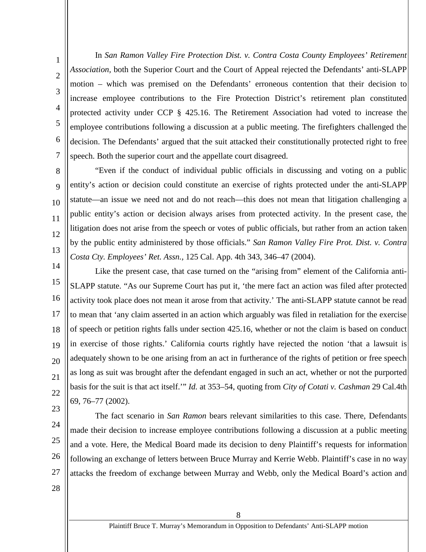In *San Ramon Valley Fire Protection Dist. v. Contra Costa County Employees' Retirement Association,* both the Superior Court and the Court of Appeal rejected the Defendants' anti-SLAPP motion – which was premised on the Defendants' erroneous contention that their decision to increase employee contributions to the Fire Protection District's retirement plan constituted protected activity under CCP § 425.16. The Retirement Association had voted to increase the employee contributions following a discussion at a public meeting. The firefighters challenged the decision. The Defendants' argued that the suit attacked their constitutionally protected right to free speech. Both the superior court and the appellate court disagreed.

"Even if the conduct of individual public officials in discussing and voting on a public entity's action or decision could constitute an exercise of rights protected under the anti-SLAPP statute—an issue we need not and do not reach—this does not mean that litigation challenging a public entity's action or decision always arises from protected activity. In the present case, the litigation does not arise from the speech or votes of public officials, but rather from an action taken by the public entity administered by those officials." *San Ramon Valley Fire Prot. Dist. v. Contra Costa Cty. Employees' Ret. Assn.,* 125 Cal. App. 4th 343, 346–47 (2004).

14 15 16 17 18 19 20 21 22 Like the present case, that case turned on the "arising from" element of the California anti-SLAPP statute. "As our Supreme Court has put it, 'the mere fact an action was filed after protected activity took place does not mean it arose from that activity.' The anti-SLAPP statute cannot be read to mean that 'any claim asserted in an action which arguably was filed in retaliation for the exercise of speech or petition rights falls under section 425.16, whether or not the claim is based on conduct in exercise of those rights.' California courts rightly have rejected the notion 'that a lawsuit is adequately shown to be one arising from an act in furtherance of the rights of petition or free speech as long as suit was brought after the defendant engaged in such an act, whether or not the purported basis for the suit is that act itself.'" *Id.* at 353–54, quoting from *City of Cotati v. Cashman* 29 Cal.4th 69, 76–77 (2002).

23

1

2

3

4

5

6

7

8

9

10

11

12

13

24

25 26

The fact scenario in *San Ramon* bears relevant similarities to this case. There, Defendants made their decision to increase employee contributions following a discussion at a public meeting and a vote. Here, the Medical Board made its decision to deny Plaintiff's requests for information following an exchange of letters between Bruce Murray and Kerrie Webb. Plaintiff's case in no way attacks the freedom of exchange between Murray and Webb, only the Medical Board's action and

28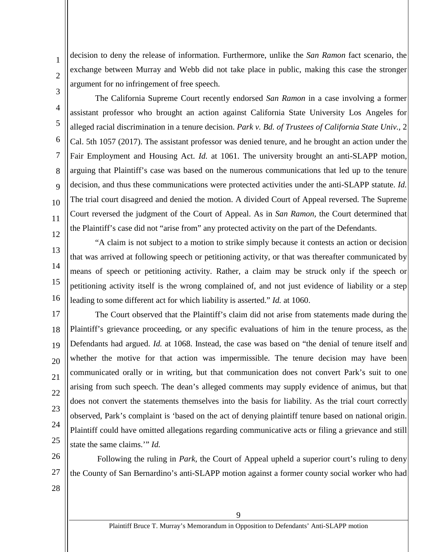decision to deny the release of information. Furthermore, unlike the *San Ramon* fact scenario, the exchange between Murray and Webb did not take place in public, making this case the stronger argument for no infringement of free speech.

3

1

2

4

5

6

7

8

9

10

11

12

13

14

15

16

The California Supreme Court recently endorsed *San Ramon* in a case involving a former assistant professor who brought an action against California State University Los Angeles for alleged racial discrimination in a tenure decision. *Park v. Bd. of Trustees of California State Univ.,* 2 Cal. 5th 1057 (2017). The assistant professor was denied tenure, and he brought an action under the Fair Employment and Housing Act. *Id.* at 1061. The university brought an anti-SLAPP motion, arguing that Plaintiff's case was based on the numerous communications that led up to the tenure decision, and thus these communications were protected activities under the anti-SLAPP statute. *Id.* The trial court disagreed and denied the motion. A divided Court of Appeal reversed. The Supreme Court reversed the judgment of the Court of Appeal. As in *San Ramon,* the Court determined that the Plaintiff's case did not "arise from" any protected activity on the part of the Defendants.

"A claim is not subject to a motion to strike simply because it contests an action or decision that was arrived at following speech or petitioning activity, or that was thereafter communicated by means of speech or petitioning activity. Rather, a claim may be struck only if the speech or petitioning activity itself is the wrong complained of, and not just evidence of liability or a step leading to some different act for which liability is asserted." *Id.* at 1060.

17 18 19 20 21 22 23 24 25 The Court observed that the Plaintiff's claim did not arise from statements made during the Plaintiff's grievance proceeding, or any specific evaluations of him in the tenure process, as the Defendants had argued. *Id.* at 1068. Instead, the case was based on "the denial of tenure itself and whether the motive for that action was impermissible. The tenure decision may have been communicated orally or in writing, but that communication does not convert Park's suit to one arising from such speech. The dean's alleged comments may supply evidence of animus, but that does not convert the statements themselves into the basis for liability. As the trial court correctly observed, Park's complaint is 'based on the act of denying plaintiff tenure based on national origin. Plaintiff could have omitted allegations regarding communicative acts or filing a grievance and still state the same claims.'" *Id.*

26 27 Following the ruling in *Park,* the Court of Appeal upheld a superior court's ruling to deny the County of San Bernardino's anti-SLAPP motion against a former county social worker who had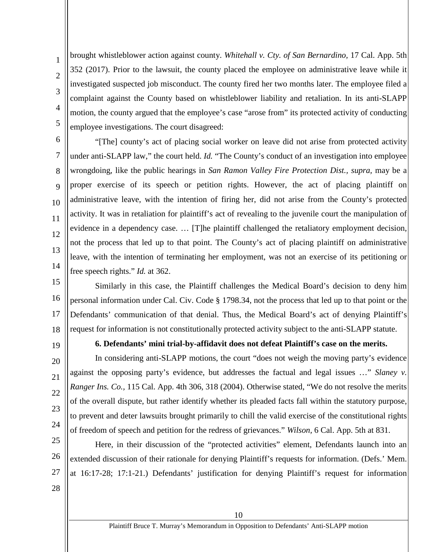brought whistleblower action against county. *Whitehall v. Cty. of San Bernardino,* 17 Cal. App. 5th 352 (2017). Prior to the lawsuit, the county placed the employee on administrative leave while it investigated suspected job misconduct. The county fired her two months later. The employee filed a complaint against the County based on whistleblower liability and retaliation. In its anti-SLAPP motion, the county argued that the employee's case "arose from" its protected activity of conducting employee investigations. The court disagreed:

"[The] county's act of placing social worker on leave did not arise from protected activity under anti-SLAPP law," the court held. *Id.* "The County's conduct of an investigation into employee wrongdoing, like the public hearings in *San Ramon Valley Fire Protection Dist., supra,* may be a proper exercise of its speech or petition rights. However, the act of placing plaintiff on administrative leave, with the intention of firing her, did not arise from the County's protected activity. It was in retaliation for plaintiff's act of revealing to the juvenile court the manipulation of evidence in a dependency case. … [T]he plaintiff challenged the retaliatory employment decision, not the process that led up to that point. The County's act of placing plaintiff on administrative leave, with the intention of terminating her employment, was not an exercise of its petitioning or free speech rights." *Id.* at 362.

15 16 17 18 Similarly in this case, the Plaintiff challenges the Medical Board's decision to deny him personal information under Cal. Civ. Code § 1798.34, not the process that led up to that point or the Defendants' communication of that denial. Thus, the Medical Board's act of denying Plaintiff's request for information is not constitutionally protected activity subject to the anti-SLAPP statute.

19

20

21

22

23

24

1

2

3

4

5

6

7

8

9

10

11

12

13

14

## **6. Defendants' mini trial-by-affidavit does not defeat Plaintiff's case on the merits.**

<span id="page-14-0"></span>In considering anti-SLAPP motions, the court "does not weigh the moving party's evidence against the opposing party's evidence, but addresses the factual and legal issues …" *Slaney v. Ranger Ins. Co.,* 115 Cal. App. 4th 306, 318 (2004). Otherwise stated, "We do not resolve the merits of the overall dispute, but rather identify whether its pleaded facts fall within the statutory purpose, to prevent and deter lawsuits brought primarily to chill the valid exercise of the constitutional rights of freedom of speech and petition for the redress of grievances." *Wilson,* 6 Cal. App. 5th at 831.

25 26 27 Here, in their discussion of the "protected activities" element, Defendants launch into an extended discussion of their rationale for denying Plaintiff's requests for information. (Defs.' Mem. at 16:17-28; 17:1-21.) Defendants' justification for denying Plaintiff's request for information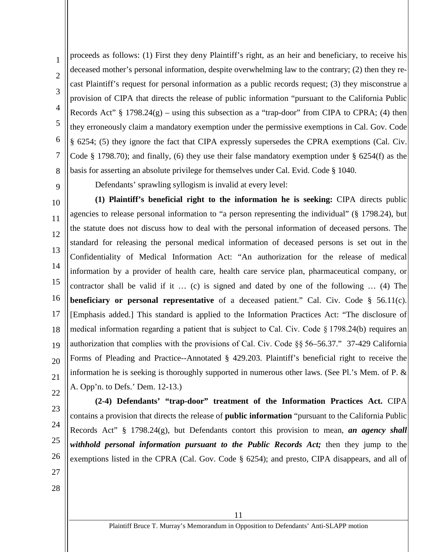proceeds as follows: (1) First they deny Plaintiff's right, as an heir and beneficiary, to receive his deceased mother's personal information, despite overwhelming law to the contrary; (2) then they recast Plaintiff's request for personal information as a public records request; (3) they misconstrue a provision of CIPA that directs the release of public information "pursuant to the California Public Records Act"  $\S$  1798.24(g) – using this subsection as a "trap-door" from CIPA to CPRA; (4) then they erroneously claim a mandatory exemption under the permissive exemptions in Cal. Gov. Code § 6254; (5) they ignore the fact that CIPA expressly supersedes the CPRA exemptions (Cal. Civ. Code § 1798.70); and finally, (6) they use their false mandatory exemption under § 6254(f) as the basis for asserting an absolute privilege for themselves under Cal. Evid. Code § 1040.

8 9

1

2

3

4

5

6

7

Defendants' sprawling syllogism is invalid at every level:

10 11 12 13 14 15 16 17 18 19 20 21 **(1) Plaintiff's beneficial right to the information he is seeking:** CIPA directs public agencies to release personal information to "a person representing the individual" (§ 1798.24), but the statute does not discuss how to deal with the personal information of deceased persons. The standard for releasing the personal medical information of deceased persons is set out in the Confidentiality of Medical Information Act: "An authorization for the release of medical information by a provider of health care, health care service plan, pharmaceutical company, or contractor shall be valid if it … (c) is signed and dated by one of the following … (4) The **beneficiary or personal representative** of a deceased patient." Cal. Civ. Code § 56.11(c). [Emphasis added.] This standard is applied to the Information Practices Act: "The disclosure of medical information regarding a patient that is subject to Cal. Civ. Code § 1798.24(b) requires an authorization that complies with the provisions of Cal. Civ. Code §§ 56–56.37." 37-429 California Forms of Pleading and Practice--Annotated § 429.203. Plaintiff's beneficial right to receive the information he is seeking is thoroughly supported in numerous other laws. (See Pl.'s Mem. of P. & A. Opp'n. to Defs.' Dem. 12-13.)

- 22
- 23 24
- 
- 25
- 26
- 27
- 28

**(2-4) Defendants' "trap-door" treatment of the Information Practices Act.** CIPA

contains a provision that directs the release of **public information** "pursuant to the California Public

Records Act" § 1798.24(g), but Defendants contort this provision to mean, *an agency shall*

*withhold personal information pursuant to the Public Records Act;* then they jump to the

exemptions listed in the CPRA (Cal. Gov. Code § 6254); and presto, CIPA disappears, and all of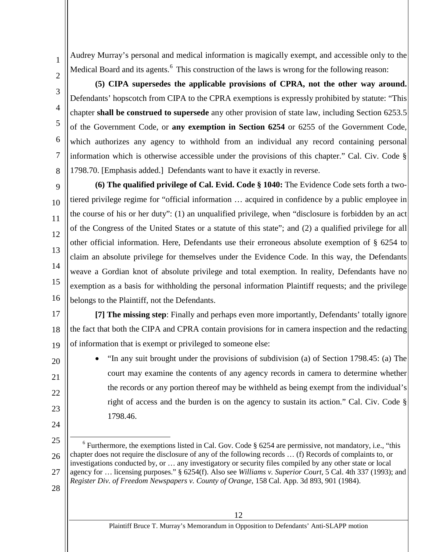Audrey Murray's personal and medical information is magically exempt, and accessible only to the Medical Board and its agents.<sup>[6](#page-16-0)</sup> This construction of the laws is wrong for the following reason:

**(5) CIPA supersedes the applicable provisions of CPRA, not the other way around.** Defendants' hopscotch from CIPA to the CPRA exemptions is expressly prohibited by statute: "This chapter **shall be construed to supersede** any other provision of state law, including Section 6253.5 of the Government Code, or **any exemption in Section 6254** or 6255 of the Government Code, which authorizes any agency to withhold from an individual any record containing personal information which is otherwise accessible under the provisions of this chapter." Cal. Civ. Code § 1798.70. [Emphasis added.] Defendants want to have it exactly in reverse.

14 16 **(6) The qualified privilege of Cal. Evid. Code § 1040:** The Evidence Code sets forth a twotiered privilege regime for "official information … acquired in confidence by a public employee in the course of his or her duty": (1) an unqualified privilege, when "disclosure is forbidden by an act of the Congress of the United States or a statute of this state"; and (2) a qualified privilege for all other official information. Here, Defendants use their erroneous absolute exemption of § 6254 to claim an absolute privilege for themselves under the Evidence Code. In this way, the Defendants weave a Gordian knot of absolute privilege and total exemption. In reality, Defendants have no exemption as a basis for withholding the personal information Plaintiff requests; and the privilege belongs to the Plaintiff, not the Defendants.

17 18 19 **[7] The missing step**: Finally and perhaps even more importantly, Defendants' totally ignore the fact that both the CIPA and CPRA contain provisions for in camera inspection and the redacting of information that is exempt or privileged to someone else:

> • "In any suit brought under the provisions of subdivision (a) of Section 1798.45: (a) The court may examine the contents of any agency records in camera to determine whether the records or any portion thereof may be withheld as being exempt from the individual's right of access and the burden is on the agency to sustain its action." Cal. Civ. Code § 1798.46.

28

1

2

3

4

5

6

7

8

9

10

11

12

13

15

20

21

22

23

24

Plaintiff Bruce T. Murray's Memorandum in Opposition to Defendants' Anti-SLAPP motion

<span id="page-16-0"></span><sup>25</sup> 26 27  $6$  Furthermore, the exemptions listed in Cal. Gov. Code  $\S 6254$  are permissive, not mandatory, i.e., "this chapter does not require the disclosure of any of the following records … (f) Records of complaints to, or investigations conducted by, or … any investigatory or security files compiled by any other state or local agency for … licensing purposes." § 6254(f). Also see *Williams v. Superior Court,* 5 Cal. 4th 337 (1993); and *Register Div. of Freedom Newspapers v. County of Orange,* 158 Cal. App. 3d 893, 901 (1984).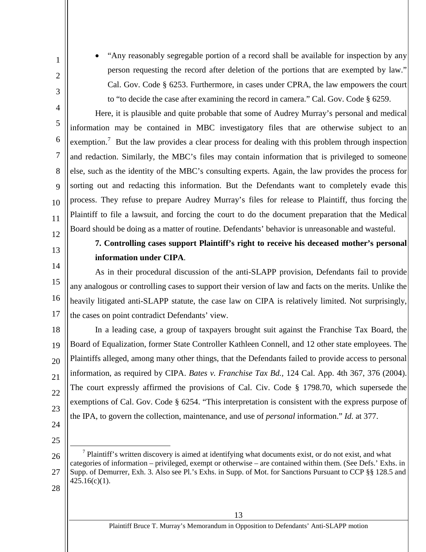• "Any reasonably segregable portion of a record shall be available for inspection by any person requesting the record after deletion of the portions that are exempted by law." Cal. Gov. Code § 6253. Furthermore, in cases under CPRA, the law empowers the court to "to decide the case after examining the record in camera." Cal. Gov. Code § 6259.

Here, it is plausible and quite probable that some of Audrey Murray's personal and medical information may be contained in MBC investigatory files that are otherwise subject to an exemption.<sup>[7](#page-17-1)</sup> But the law provides a clear process for dealing with this problem through inspection and redaction. Similarly, the MBC's files may contain information that is privileged to someone else, such as the identity of the MBC's consulting experts. Again, the law provides the process for sorting out and redacting this information. But the Defendants want to completely evade this process. They refuse to prepare Audrey Murray's files for release to Plaintiff, thus forcing the Plaintiff to file a lawsuit, and forcing the court to do the document preparation that the Medical Board should be doing as a matter of routine. Defendants' behavior is unreasonable and wasteful.

<span id="page-17-0"></span>12 13

14

1

2

3

4

5

6

7

8

9

10

11

## **7. Controlling cases support Plaintiff's right to receive his deceased mother's personal information under CIPA**.

15 16 17 As in their procedural discussion of the anti-SLAPP provision, Defendants fail to provide any analogous or controlling cases to support their version of law and facts on the merits. Unlike the heavily litigated anti-SLAPP statute, the case law on CIPA is relatively limited. Not surprisingly, the cases on point contradict Defendants' view.

18 19 20 21 22 23 In a leading case, a group of taxpayers brought suit against the Franchise Tax Board, the Board of Equalization, former State Controller Kathleen Connell, and 12 other state employees. The Plaintiffs alleged, among many other things, that the Defendants failed to provide access to personal information, as required by CIPA. *Bates v. Franchise Tax Bd.,* 124 Cal. App. 4th 367, 376 (2004). The court expressly affirmed the provisions of Cal. Civ. Code § 1798.70, which supersede the exemptions of Cal. Gov. Code § 6254. "This interpretation is consistent with the express purpose of the IPA, to govern the collection, maintenance, and use of *personal* information." *Id.* at 377.

- 24 25
- <span id="page-17-1"></span>26 27  $<sup>7</sup>$  Plaintiff's written discovery is aimed at identifying what documents exist, or do not exist, and what</sup> categories of information – privileged, exempt or otherwise – are contained within them. (See Defs.' Exhs. in Supp. of Demurrer, Exh. 3. Also see Pl.'s Exhs. in Supp. of Mot. for Sanctions Pursuant to CCP §§ 128.5 and  $425.16(c)(1)$ .
- 28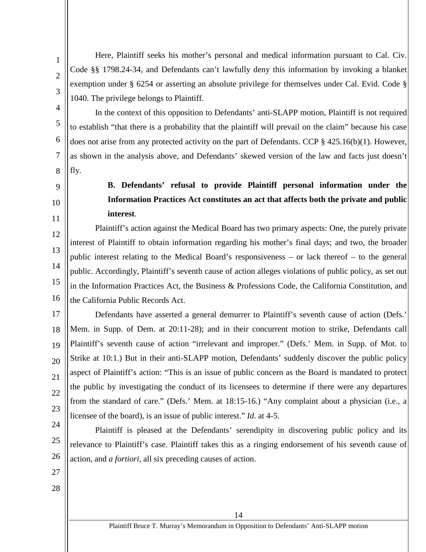Here, Plaintiff seeks his mother's personal and medical information pursuant to Cal. Civ. Code §§ 1798.24-34, and Defendants can't lawfully deny this information by invoking a blanket exemption under § 6254 or asserting an absolute privilege for themselves under Cal. Evid. Code § 1040. The privilege belongs to Plaintiff.

In the context of this opposition to Defendants' anti-SLAPP motion, Plaintiff is not required to establish "that there is a probability that the plaintiff will prevail on the claim" because his case does not arise from any protected activity on the part of Defendants. CCP § 425.16(b)(1). However, as shown in the analysis above, and Defendants' skewed version of the law and facts just doesn't fly.

<span id="page-18-0"></span>8 9

1

2

3

4

5

6

7

# 10

11

12

13

14

15

16

# **B. Defendants' refusal to provide Plaintiff personal information under the Information Practices Act constitutes an act that affects both the private and public interest**.

Plaintiff's action against the Medical Board has two primary aspects: One, the purely private interest of Plaintiff to obtain information regarding his mother's final days; and two, the broader public interest relating to the Medical Board's responsiveness – or lack thereof – to the general public. Accordingly, Plaintiff's seventh cause of action alleges violations of public policy, as set out in the Information Practices Act, the Business & Professions Code, the California Constitution, and the California Public Records Act.

17 18 19 20 21 22 23 Defendants have asserted a general demurrer to Plaintiff's seventh cause of action (Defs.' Mem. in Supp. of Dem. at 20:11-28); and in their concurrent motion to strike, Defendants call Plaintiff's seventh cause of action "irrelevant and improper." (Defs.' Mem. in Supp. of Mot. to Strike at 10:1.) But in their anti-SLAPP motion, Defendants' suddenly discover the public policy aspect of Plaintiff's action: "This is an issue of public concern as the Board is mandated to protect the public by investigating the conduct of its licensees to determine if there were any departures from the standard of care." (Defs.' Mem. at 18:15-16.) "Any complaint about a physician (i.e., a licensee of the board), is an issue of public interest." *Id.* at 4-5.

24 25 26 Plaintiff is pleased at the Defendants' serendipity in discovering public policy and its relevance to Plaintiff's case. Plaintiff takes this as a ringing endorsement of his seventh cause of action, and *a fortiori,* all six preceding causes of action.

- 27
- 28